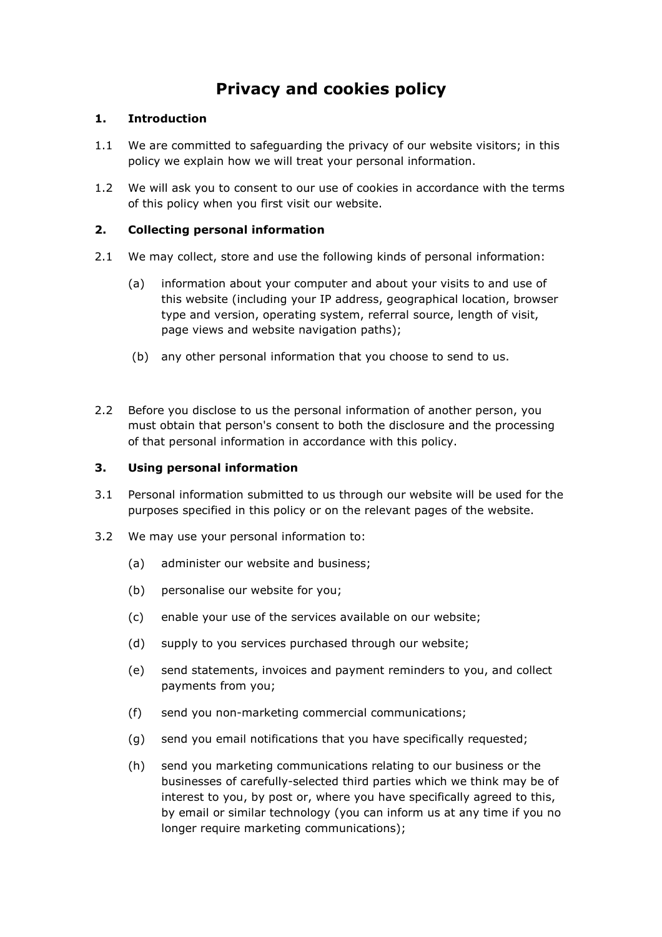# **Privacy and cookies policy**

# **1. Introduction**

- 1.1 We are committed to safeguarding the privacy of our website visitors; in this policy we explain how we will treat your personal information.
- 1.2 We will ask you to consent to our use of cookies in accordance with the terms of this policy when you first visit our website.

# **2. Collecting personal information**

- 2.1 We may collect, store and use the following kinds of personal information:
	- (a) information about your computer and about your visits to and use of this website (including your IP address, geographical location, browser type and version, operating system, referral source, length of visit, page views and website navigation paths);
	- (b) any other personal information that you choose to send to us.
- 2.2 Before you disclose to us the personal information of another person, you must obtain that person's consent to both the disclosure and the processing of that personal information in accordance with this policy.

## **3. Using personal information**

- 3.1 Personal information submitted to us through our website will be used for the purposes specified in this policy or on the relevant pages of the website.
- 3.2 We may use your personal information to:
	- (a) administer our website and business;
	- (b) personalise our website for you;
	- (c) enable your use of the services available on our website;
	- (d) supply to you services purchased through our website;
	- (e) send statements, invoices and payment reminders to you, and collect payments from you;
	- (f) send you non-marketing commercial communications;
	- (g) send you email notifications that you have specifically requested;
	- (h) send you marketing communications relating to our business or the businesses of carefully-selected third parties which we think may be of interest to you, by post or, where you have specifically agreed to this, by email or similar technology (you can inform us at any time if you no longer require marketing communications);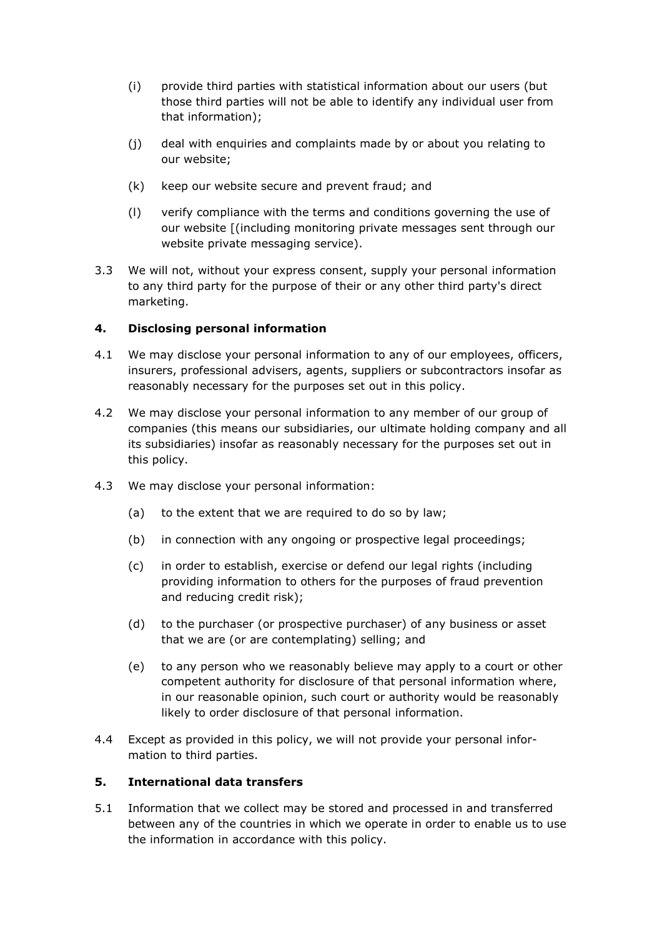- (i) provide third parties with statistical information about our users (but those third parties will not be able to identify any individual user from that information);
- (j) deal with enquiries and complaints made by or about you relating to our website;
- (k) keep our website secure and prevent fraud; and
- (l) verify compliance with the terms and conditions governing the use of our website [(including monitoring private messages sent through our website private messaging service).
- 3.3 We will not, without your express consent, supply your personal information to any third party for the purpose of their or any other third party's direct marketing.

### **4. Disclosing personal information**

- 4.1 We may disclose your personal information to any of our employees, officers, insurers, professional advisers, agents, suppliers or subcontractors insofar as reasonably necessary for the purposes set out in this policy.
- 4.2 We may disclose your personal information to any member of our group of companies (this means our subsidiaries, our ultimate holding company and all its subsidiaries) insofar as reasonably necessary for the purposes set out in this policy.
- 4.3 We may disclose your personal information:
	- (a) to the extent that we are required to do so by law;
	- (b) in connection with any ongoing or prospective legal proceedings;
	- (c) in order to establish, exercise or defend our legal rights (including providing information to others for the purposes of fraud prevention and reducing credit risk);
	- (d) to the purchaser (or prospective purchaser) of any business or asset that we are (or are contemplating) selling; and
	- (e) to any person who we reasonably believe may apply to a court or other competent authority for disclosure of that personal information where, in our reasonable opinion, such court or authority would be reasonably likely to order disclosure of that personal information.
- 4.4 Except as provided in this policy, we will not provide your personal information to third parties.

#### **5. International data transfers**

5.1 Information that we collect may be stored and processed in and transferred between any of the countries in which we operate in order to enable us to use the information in accordance with this policy.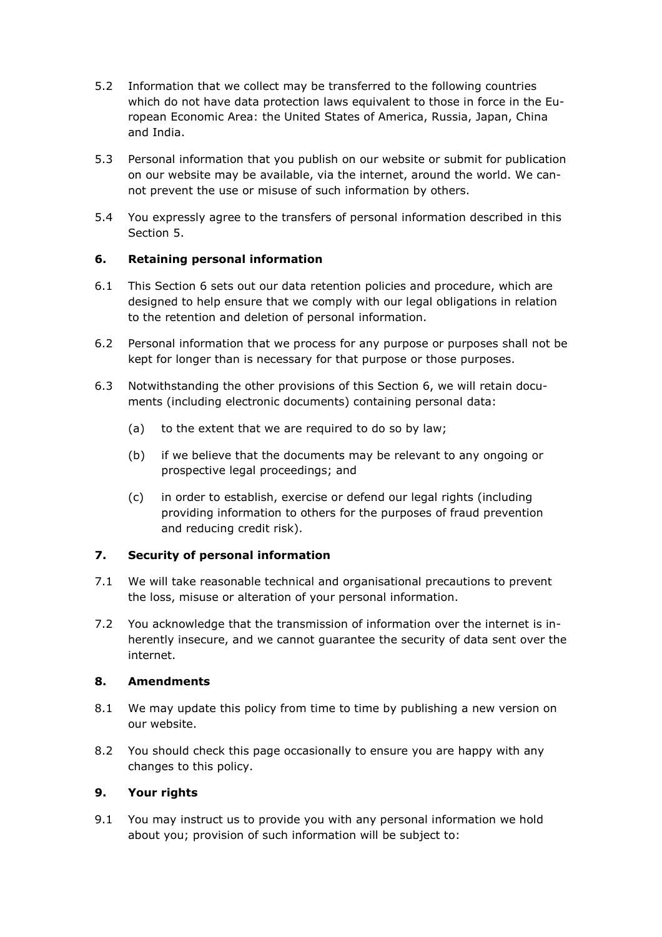- 5.2 Information that we collect may be transferred to the following countries which do not have data protection laws equivalent to those in force in the European Economic Area: the United States of America, Russia, Japan, China and India.
- 5.3 Personal information that you publish on our website or submit for publication on our website may be available, via the internet, around the world. We cannot prevent the use or misuse of such information by others.
- 5.4 You expressly agree to the transfers of personal information described in this Section 5.

## **6. Retaining personal information**

- 6.1 This Section 6 sets out our data retention policies and procedure, which are designed to help ensure that we comply with our legal obligations in relation to the retention and deletion of personal information.
- 6.2 Personal information that we process for any purpose or purposes shall not be kept for longer than is necessary for that purpose or those purposes.
- 6.3 Notwithstanding the other provisions of this Section 6, we will retain documents (including electronic documents) containing personal data:
	- (a) to the extent that we are required to do so by law;
	- (b) if we believe that the documents may be relevant to any ongoing or prospective legal proceedings; and
	- (c) in order to establish, exercise or defend our legal rights (including providing information to others for the purposes of fraud prevention and reducing credit risk).

## **7. Security of personal information**

- 7.1 We will take reasonable technical and organisational precautions to prevent the loss, misuse or alteration of your personal information.
- 7.2 You acknowledge that the transmission of information over the internet is inherently insecure, and we cannot guarantee the security of data sent over the internet.

## **8. Amendments**

- 8.1 We may update this policy from time to time by publishing a new version on our website.
- 8.2 You should check this page occasionally to ensure you are happy with any changes to this policy.

## **9. Your rights**

9.1 You may instruct us to provide you with any personal information we hold about you; provision of such information will be subject to: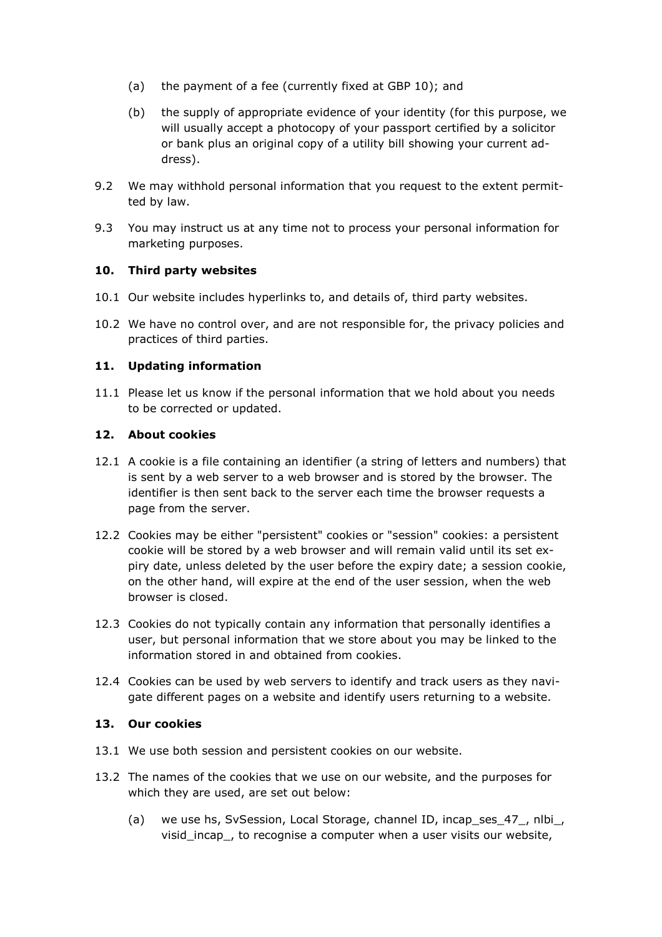- (a) the payment of a fee (currently fixed at GBP 10); and
- (b) the supply of appropriate evidence of your identity (for this purpose, we will usually accept a photocopy of your passport certified by a solicitor or bank plus an original copy of a utility bill showing your current address).
- 9.2 We may withhold personal information that you request to the extent permitted by law.
- 9.3 You may instruct us at any time not to process your personal information for marketing purposes.

### **10. Third party websites**

- 10.1 Our website includes hyperlinks to, and details of, third party websites.
- 10.2 We have no control over, and are not responsible for, the privacy policies and practices of third parties.

### **11. Updating information**

11.1 Please let us know if the personal information that we hold about you needs to be corrected or updated.

### **12. About cookies**

- 12.1 A cookie is a file containing an identifier (a string of letters and numbers) that is sent by a web server to a web browser and is stored by the browser. The identifier is then sent back to the server each time the browser requests a page from the server.
- 12.2 Cookies may be either "persistent" cookies or "session" cookies: a persistent cookie will be stored by a web browser and will remain valid until its set expiry date, unless deleted by the user before the expiry date; a session cookie, on the other hand, will expire at the end of the user session, when the web browser is closed.
- 12.3 Cookies do not typically contain any information that personally identifies a user, but personal information that we store about you may be linked to the information stored in and obtained from cookies.
- 12.4 Cookies can be used by web servers to identify and track users as they navigate different pages on a website and identify users returning to a website.

#### **13. Our cookies**

- 13.1 We use both session and persistent cookies on our website.
- 13.2 The names of the cookies that we use on our website, and the purposes for which they are used, are set out below:
	- (a) we use hs, SvSession, Local Storage, channel ID, incap\_ses\_47\_, nlbi\_, visid incap, to recognise a computer when a user visits our website,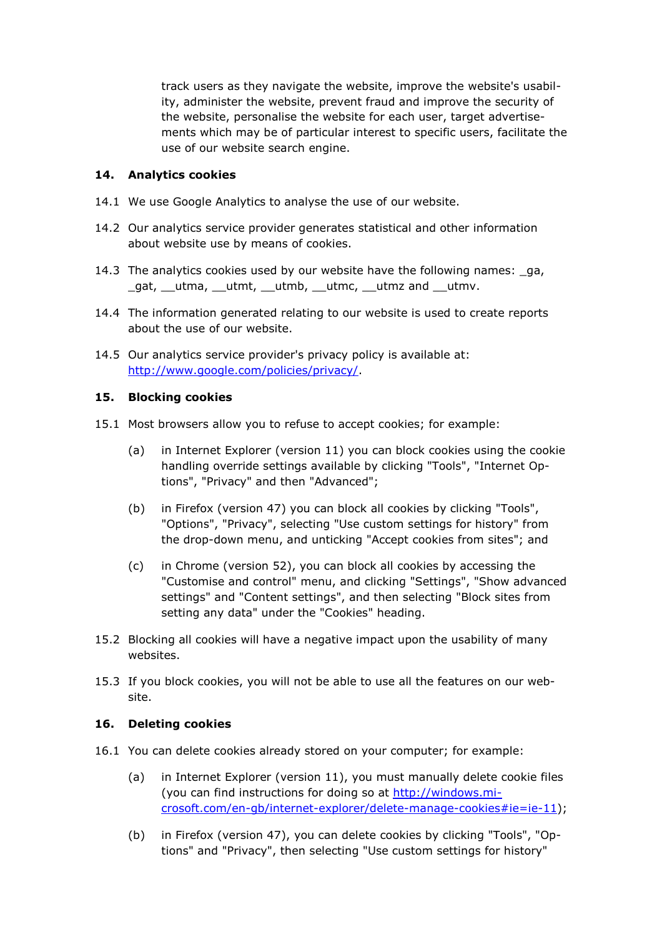track users as they navigate the website, improve the website's usability, administer the website, prevent fraud and improve the security of the website, personalise the website for each user, target advertisements which may be of particular interest to specific users, facilitate the use of our website search engine.

## **14. Analytics cookies**

- 14.1 We use Google Analytics to analyse the use of our website.
- 14.2 Our analytics service provider generates statistical and other information about website use by means of cookies.
- 14.3 The analytics cookies used by our website have the following names: \_ga, \_gat, \_\_utma, \_\_utmt, \_\_utmb, \_\_utmc, \_\_utmz and \_\_utmv.
- 14.4 The information generated relating to our website is used to create reports about the use of our website.
- 14.5 Our analytics service provider's privacy policy is available at: [http://www.google.com/policies/privacy/.](http://www.google.com/policies/privacy/)

### **15. Blocking cookies**

- 15.1 Most browsers allow you to refuse to accept cookies; for example:
	- (a) in Internet Explorer (version 11) you can block cookies using the cookie handling override settings available by clicking "Tools", "Internet Options", "Privacy" and then "Advanced";
	- (b) in Firefox (version 47) you can block all cookies by clicking "Tools", "Options", "Privacy", selecting "Use custom settings for history" from the drop-down menu, and unticking "Accept cookies from sites"; and
	- (c) in Chrome (version 52), you can block all cookies by accessing the "Customise and control" menu, and clicking "Settings", "Show advanced settings" and "Content settings", and then selecting "Block sites from setting any data" under the "Cookies" heading.
- 15.2 Blocking all cookies will have a negative impact upon the usability of many websites.
- 15.3 If you block cookies, you will not be able to use all the features on our website.

#### **16. Deleting cookies**

- 16.1 You can delete cookies already stored on your computer; for example:
	- (a) in Internet Explorer (version 11), you must manually delete cookie files (you can find instructions for doing so at [http://windows.mi](http://windows.microsoft.com/en-gb/internet-explorer/delete-manage-cookies%252523ie=ie-11)[crosoft.com/en-gb/internet-explorer/delete-manage-cookies#ie=ie-11\)](http://windows.microsoft.com/en-gb/internet-explorer/delete-manage-cookies%252523ie=ie-11);
	- (b) in Firefox (version 47), you can delete cookies by clicking "Tools", "Options" and "Privacy", then selecting "Use custom settings for history"